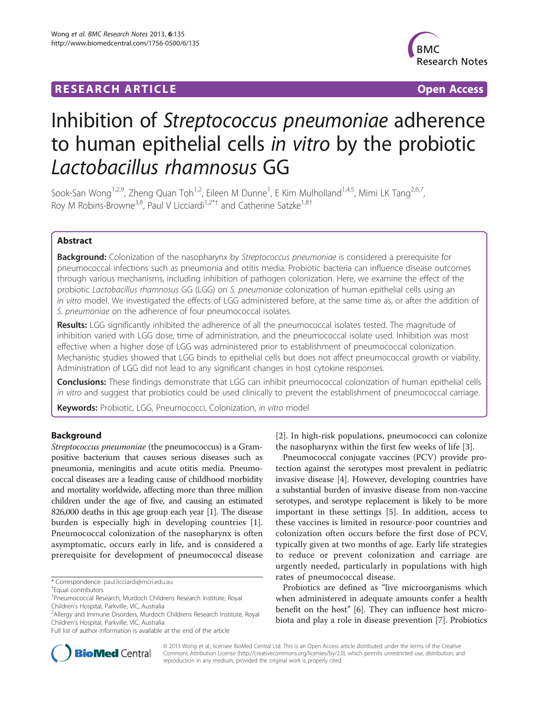# **RESEARCH ARTICLE Example 2018 12:00 Department of the CONNECTION CONNECTION CONNECTION CONNECTION**



# Inhibition of Streptococcus pneumoniae adherence to human epithelial cells in vitro by the probiotic Lactobacillus rhamnosus GG

Sook-San Wong<sup>1,2,9</sup>, Zheng Quan Toh<sup>1,2</sup>, Eileen M Dunne<sup>1</sup>, E Kim Mulholland<sup>1,4,5</sup>, Mimi LK Tang<sup>2,6,7</sup>, Roy M Robins-Browne<sup>3,8</sup>, Paul V Licciardi<sup>1,2\*†</sup> and Catherine Satzke<sup>1,8†</sup>

# Abstract

Background: Colonization of the nasopharynx by Streptococcus pneumoniae is considered a prerequisite for pneumococcal infections such as pneumonia and otitis media. Probiotic bacteria can influence disease outcomes through various mechanisms, including inhibition of pathogen colonization. Here, we examine the effect of the probiotic Lactobacillus rhamnosus GG (LGG) on S. pneumoniae colonization of human epithelial cells using an in vitro model. We investigated the effects of LGG administered before, at the same time as, or after the addition of S. pneumoniae on the adherence of four pneumococcal isolates.

Results: LGG significantly inhibited the adherence of all the pneumococcal isolates tested. The magnitude of inhibition varied with LGG dose, time of administration, and the pneumococcal isolate used. Inhibition was most effective when a higher dose of LGG was administered prior to establishment of pneumococcal colonization. Mechanistic studies showed that LGG binds to epithelial cells but does not affect pneumococcal growth or viability. Administration of LGG did not lead to any significant changes in host cytokine responses.

Conclusions: These findings demonstrate that LGG can inhibit pneumococcal colonization of human epithelial cells in vitro and suggest that probiotics could be used clinically to prevent the establishment of pneumococcal carriage.

Keywords: Probiotic, LGG, Pneumococci, Colonization, in vitro model

# Background

Streptococcus pneumoniae (the pneumococcus) is a Grampositive bacterium that causes serious diseases such as pneumonia, meningitis and acute otitis media. Pneumococcal diseases are a leading cause of childhood morbidity and mortality worldwide, affecting more than three million children under the age of five, and causing an estimated 826,000 deaths in this age group each year [[1](#page-5-0)]. The disease burden is especially high in developing countries [[1](#page-5-0)]. Pneumococcal colonization of the nasopharynx is often asymptomatic, occurs early in life, and is considered a prerequisite for development of pneumococcal disease



Pneumococcal conjugate vaccines (PCV) provide protection against the serotypes most prevalent in pediatric invasive disease [[4\]](#page-5-0). However, developing countries have a substantial burden of invasive disease from non-vaccine serotypes, and serotype replacement is likely to be more important in these settings [[5\]](#page-5-0). In addition, access to these vaccines is limited in resource-poor countries and colonization often occurs before the first dose of PCV, typically given at two months of age. Early life strategies to reduce or prevent colonization and carriage are urgently needed, particularly in populations with high rates of pneumococcal disease.

Probiotics are defined as "live microorganisms which when administered in adequate amounts confer a health benefit on the host" [\[6\]](#page-5-0). They can influence host microbiota and play a role in disease prevention [\[7](#page-5-0)]. Probiotics



© 2013 Wong et al.; licensee BioMed Central Ltd. This is an Open Access article distributed under the terms of the Creative Commons Attribution License [\(http://creativecommons.org/licenses/by/2.0\)](http://creativecommons.org/licenses/by/2.0), which permits unrestricted use, distribution, and reproduction in any medium, provided the original work is properly cited.

<sup>\*</sup> Correspondence: [paul.licciardi@mcri.edu.au](mailto:paul.licciardi@mcri.edu.au) †

Equal contributors

<sup>1</sup> Pneumococcal Research, Murdoch Childrens Research Institute, Royal

Children's Hospital, Parkville, VIC, Australia <sup>2</sup>

<sup>&</sup>lt;sup>2</sup> Allergy and Immune Disorders, Murdoch Childrens Research Institute, Royal Children's Hospital, Parkville, VIC, Australia

Full list of author information is available at the end of the article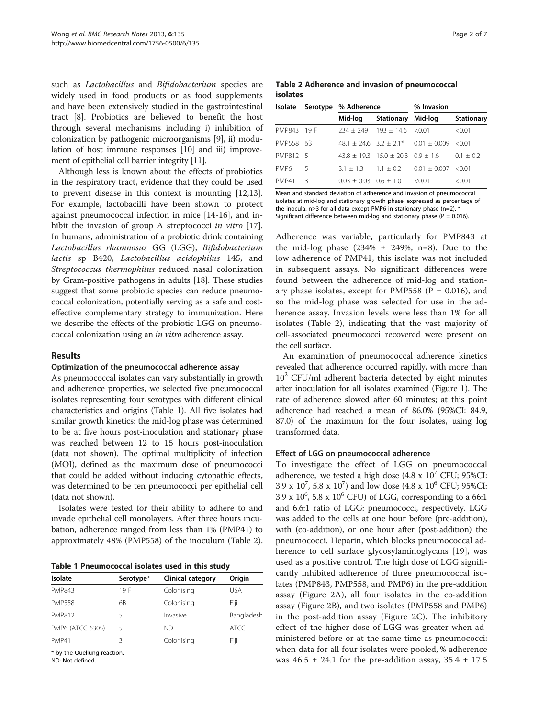<span id="page-1-0"></span>such as Lactobacillus and Bifidobacterium species are widely used in food products or as food supplements and have been extensively studied in the gastrointestinal tract [[8\]](#page-5-0). Probiotics are believed to benefit the host through several mechanisms including i) inhibition of colonization by pathogenic microorganisms [\[9\]](#page-5-0), ii) modulation of host immune responses [\[10](#page-5-0)] and iii) improvement of epithelial cell barrier integrity [[11](#page-5-0)].

Although less is known about the effects of probiotics in the respiratory tract, evidence that they could be used to prevent disease in this context is mounting [\[12,13](#page-5-0)]. For example, lactobacilli have been shown to protect against pneumococcal infection in mice [\[14](#page-5-0)-[16\]](#page-6-0), and in-hibit the invasion of group A streptococci in vitro [\[17](#page-6-0)]. In humans, administration of a probiotic drink containing Lactobacillus rhamnosus GG (LGG), Bifidobacterium lactis sp B420, Lactobacillus acidophilus 145, and Streptococcus thermophilus reduced nasal colonization by Gram-positive pathogens in adults [\[18\]](#page-6-0). These studies suggest that some probiotic species can reduce pneumococcal colonization, potentially serving as a safe and costeffective complementary strategy to immunization. Here we describe the effects of the probiotic LGG on pneumococcal colonization using an in vitro adherence assay.

### Results

#### Optimization of the pneumococcal adherence assay

As pneumococcal isolates can vary substantially in growth and adherence properties, we selected five pneumococcal isolates representing four serotypes with different clinical characteristics and origins (Table 1). All five isolates had similar growth kinetics: the mid-log phase was determined to be at five hours post-inoculation and stationary phase was reached between 12 to 15 hours post-inoculation (data not shown). The optimal multiplicity of infection (MOI), defined as the maximum dose of pneumococci that could be added without inducing cytopathic effects, was determined to be ten pneumococci per epithelial cell (data not shown).

Isolates were tested for their ability to adhere to and invade epithelial cell monolayers. After three hours incubation, adherence ranged from less than 1% (PMP41) to approximately 48% (PMP558) of the inoculum (Table 2).

Table 1 Pneumococcal isolates used in this study

| Isolate          | Serotype* | <b>Clinical category</b> | Origin     |
|------------------|-----------|--------------------------|------------|
| <b>PMP843</b>    | 19 F      | Colonising               | USA        |
| <b>PMP558</b>    | 6B        | Colonising               | Fiji       |
| <b>PMP812</b>    | 5         | Invasive                 | Bangladesh |
| PMP6 (ATCC 6305) | 5         | ΝD                       | ATCC       |
| PMP41            | Β         | Colonising               | Fiji       |

\* by the Quellung reaction.

ND: Not defined.

Table 2 Adherence and invasion of pneumococcal isolates

|              |   | Isolate Serotype % Adherence |                                         | % Invasion                                 |                   |
|--------------|---|------------------------------|-----------------------------------------|--------------------------------------------|-------------------|
|              |   | Mid-log                      | <b>Stationary Mid-log</b>               |                                            | <b>Stationary</b> |
| PMP843 19 F  |   |                              | $234 + 249$ 193 + 14.6 < 0.01           |                                            | < 0.01            |
| PMP558 6B    |   |                              |                                         | $48.1 + 24.6$ $3.2 + 2.1^*$ $0.01 + 0.009$ | $<$ 0.01          |
| PMP812 5     |   |                              | $43.8 + 19.3$ $15.0 + 20.3$ $0.9 + 1.6$ |                                            | $0.1 \pm 0.2$     |
| PMP6         | 5 | $31 + 13$                    | $1.1 + 0.2$                             | $0.01 + 0.007$                             | - < 0.01          |
| <b>PMP41</b> | Β |                              | $0.03 + 0.03$ $0.6 + 1.0$               | < 0.01                                     | < 0.01            |

Mean and standard deviation of adherence and invasion of pneumococcal isolates at mid-log and stationary growth phase, expressed as percentage of the inocula. n≥3 for all data except PMP6 in stationary phase (n=2). \* Significant difference between mid-log and stationary phase ( $P = 0.016$ ).

Adherence was variable, particularly for PMP843 at the mid-log phase  $(234\% \pm 249\%)$ , n=8). Due to the low adherence of PMP41, this isolate was not included in subsequent assays. No significant differences were found between the adherence of mid-log and stationary phase isolates, except for PMP558 ( $P = 0.016$ ), and so the mid-log phase was selected for use in the adherence assay. Invasion levels were less than 1% for all isolates (Table 2), indicating that the vast majority of cell-associated pneumococci recovered were present on the cell surface.

An examination of pneumococcal adherence kinetics revealed that adherence occurred rapidly, with more than  $10<sup>2</sup>$  CFU/ml adherent bacteria detected by eight minutes after inoculation for all isolates examined (Figure [1](#page-2-0)). The rate of adherence slowed after 60 minutes; at this point adherence had reached a mean of 86.0% (95%CI: 84.9, 87.0) of the maximum for the four isolates, using log transformed data.

#### Effect of LGG on pneumococcal adherence

To investigate the effect of LGG on pneumococcal adherence, we tested a high dose  $(4.8 \times 10^{7} \text{ CFU}; 95\% \text{CI}:$ 3.9 x  $10^7$ , 5.8 x  $10^7$ ) and low dose (4.8 x  $10^6$  CFU; 95%CI: 3.9 x  $10^6$ , 5.8 x  $10^6$  CFU) of LGG, corresponding to a 66:1 and 6.6:1 ratio of LGG: pneumococci, respectively. LGG was added to the cells at one hour before (pre-addition), with (co-addition), or one hour after (post-addition) the pneumococci. Heparin, which blocks pneumococcal adherence to cell surface glycosylaminoglycans [\[19](#page-6-0)], was used as a positive control. The high dose of LGG significantly inhibited adherence of three pneumococcal isolates (PMP843, PMP558, and PMP6) in the pre-addition assay (Figure [2](#page-2-0)A), all four isolates in the co-addition assay (Figure [2](#page-2-0)B), and two isolates (PMP558 and PMP6) in the post-addition assay (Figure [2](#page-2-0)C). The inhibitory effect of the higher dose of LGG was greater when administered before or at the same time as pneumococci: when data for all four isolates were pooled, % adherence was  $46.5 \pm 24.1$  for the pre-addition assay,  $35.4 \pm 17.5$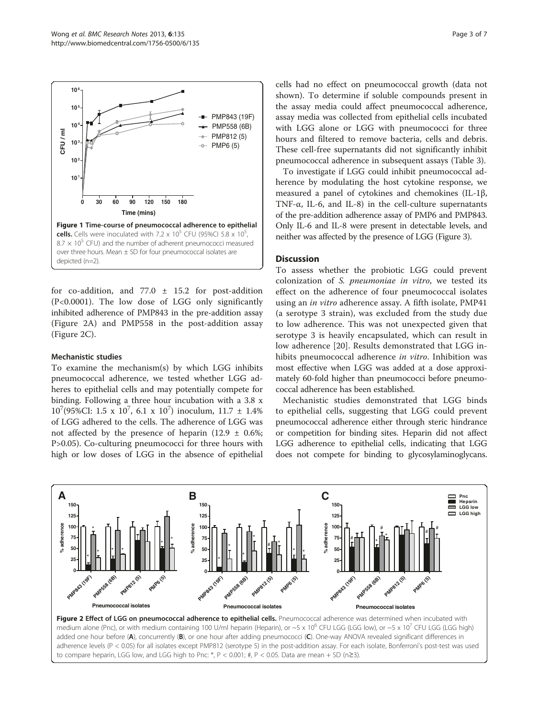

<span id="page-2-0"></span>

**0 30 60 90 120 150 180 Time (mins)** Figure 1 Time-course of pneumococcal adherence to epithelial cells. Cells were inoculated with 7.2 x 10<sup>5</sup> CFU (95%CI 5.8 x 10<sup>5</sup>, ,  $8.7 \times 10^5$  CFU) and the number of adherent pneumococci measured over three hours. Mean  $\pm$  SD for four pneumococcal isolates are depicted (n=2).

for co-addition, and  $77.0 \pm 15.2$  for post-addition (P<0.0001). The low dose of LGG only significantly inhibited adherence of PMP843 in the pre-addition assay (Figure 2A) and PMP558 in the post-addition assay (Figure 2C).

## Mechanistic studies

 **CFU / ml**

 $3FU/ml$ 

To examine the mechanism(s) by which LGG inhibits pneumococcal adherence, we tested whether LGG adheres to epithelial cells and may potentially compete for binding. Following a three hour incubation with a 3.8 x  $10^{7}$ (95%CI: 1.5 x  $10^{7}$ , 6.1 x  $10^{7}$ ) inoculum, 11.7 ± 1.4% of LGG adhered to the cells. The adherence of LGG was not affected by the presence of heparin (12.9  $\pm$  0.6%; P>0.05). Co-culturing pneumococci for three hours with high or low doses of LGG in the absence of epithelial cells had no effect on pneumococcal growth (data not shown). To determine if soluble compounds present in the assay media could affect pneumococcal adherence, assay media was collected from epithelial cells incubated with LGG alone or LGG with pneumococci for three hours and filtered to remove bacteria, cells and debris. These cell-free supernatants did not significantly inhibit pneumococcal adherence in subsequent assays (Table [3\)](#page-3-0).

To investigate if LGG could inhibit pneumococcal adherence by modulating the host cytokine response, we measured a panel of cytokines and chemokines (IL-1β, TNF- $\alpha$ , IL-6, and IL-8) in the cell-culture supernatants of the pre-addition adherence assay of PMP6 and PMP843. Only IL-6 and IL-8 were present in detectable levels, and neither was affected by the presence of LGG (Figure [3](#page-3-0)).

# **Discussion**

To assess whether the probiotic LGG could prevent colonization of S. pneumoniae in vitro, we tested its effect on the adherence of four pneumococcal isolates using an in vitro adherence assay. A fifth isolate, PMP41 (a serotype 3 strain), was excluded from the study due to low adherence. This was not unexpected given that serotype 3 is heavily encapsulated, which can result in low adherence [[20\]](#page-6-0). Results demonstrated that LGG inhibits pneumococcal adherence in vitro. Inhibition was most effective when LGG was added at a dose approximately 60-fold higher than pneumococci before pneumococcal adherence has been established.

Mechanistic studies demonstrated that LGG binds to epithelial cells, suggesting that LGG could prevent pneumococcal adherence either through steric hindrance or competition for binding sites. Heparin did not affect LGG adherence to epithelial cells, indicating that LGG does not compete for binding to glycosylaminoglycans.



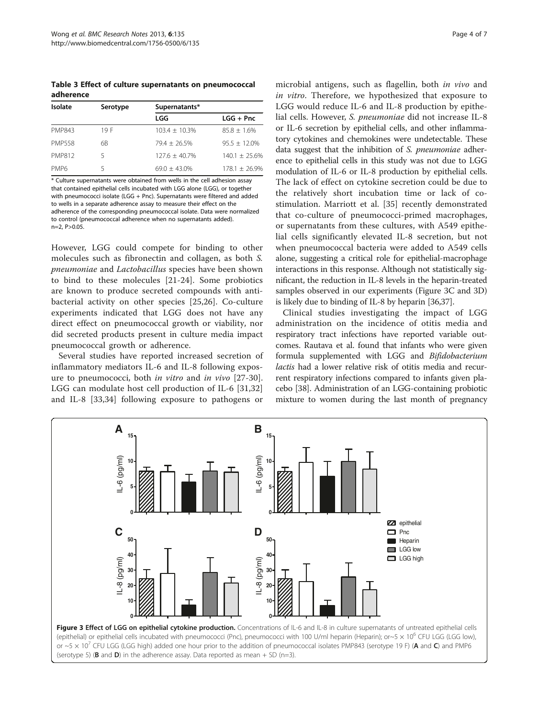<span id="page-3-0"></span>Table 3 Effect of culture supernatants on pneumococcal adherence

| Isolate          | Serotype | Supernatants*    |                 |  |
|------------------|----------|------------------|-----------------|--|
|                  |          | LGG              | $LGG + Proc$    |  |
| <b>PMP843</b>    | 19 F     | $103.4 + 10.3%$  | $85.8 + 1.6%$   |  |
| <b>PMP558</b>    | 6B       | $79.4 + 26.5%$   | $95.5 + 12.0\%$ |  |
| <b>PMP812</b>    | 5        | $127.6 + 40.7\%$ | $140.1 + 25.6%$ |  |
| PMP <sub>6</sub> | 5        | $69.0 + 43.0\%$  | $178.1 + 26.9%$ |  |

\* Culture supernatants were obtained from wells in the cell adhesion assay that contained epithelial cells incubated with LGG alone (LGG), or together with pneumococci isolate (LGG + Pnc). Supernatants were filtered and added to wells in a separate adherence assay to measure their effect on the adherence of the corresponding pneumococcal isolate. Data were normalized to control (pneumococcal adherence when no supernatants added). n=2, P>0.05.

However, LGG could compete for binding to other molecules such as fibronectin and collagen, as both S. pneumoniae and Lactobacillus species have been shown to bind to these molecules [[21-24\]](#page-6-0). Some probiotics are known to produce secreted compounds with antibacterial activity on other species [[25,26](#page-6-0)]. Co-culture experiments indicated that LGG does not have any direct effect on pneumococcal growth or viability, nor did secreted products present in culture media impact pneumococcal growth or adherence.

Several studies have reported increased secretion of inflammatory mediators IL-6 and IL-8 following exposure to pneumococci, both in vitro and in vivo [\[27-30](#page-6-0)]. LGG can modulate host cell production of IL-6 [[31,32](#page-6-0)] and IL-8 [\[33](#page-6-0),[34\]](#page-6-0) following exposure to pathogens or

microbial antigens, such as flagellin, both in vivo and in vitro. Therefore, we hypothesized that exposure to LGG would reduce IL-6 and IL-8 production by epithelial cells. However, S. pneumoniae did not increase IL-8 or IL-6 secretion by epithelial cells, and other inflammatory cytokines and chemokines were undetectable. These data suggest that the inhibition of S. *pneumoniae* adherence to epithelial cells in this study was not due to LGG modulation of IL-6 or IL-8 production by epithelial cells. The lack of effect on cytokine secretion could be due to the relatively short incubation time or lack of costimulation. Marriott et al. [[35\]](#page-6-0) recently demonstrated that co-culture of pneumococci-primed macrophages, or supernatants from these cultures, with A549 epithelial cells significantly elevated IL-8 secretion, but not when pneumococcal bacteria were added to A549 cells alone, suggesting a critical role for epithelial-macrophage interactions in this response. Although not statistically significant, the reduction in IL-8 levels in the heparin-treated samples observed in our experiments (Figure 3C and 3D) is likely due to binding of IL-8 by heparin [[36,37](#page-6-0)].

Clinical studies investigating the impact of LGG administration on the incidence of otitis media and respiratory tract infections have reported variable outcomes. Rautava et al. found that infants who were given formula supplemented with LGG and Bifidobacterium lactis had a lower relative risk of otitis media and recurrent respiratory infections compared to infants given placebo [\[38](#page-6-0)]. Administration of an LGG-containing probiotic mixture to women during the last month of pregnancy

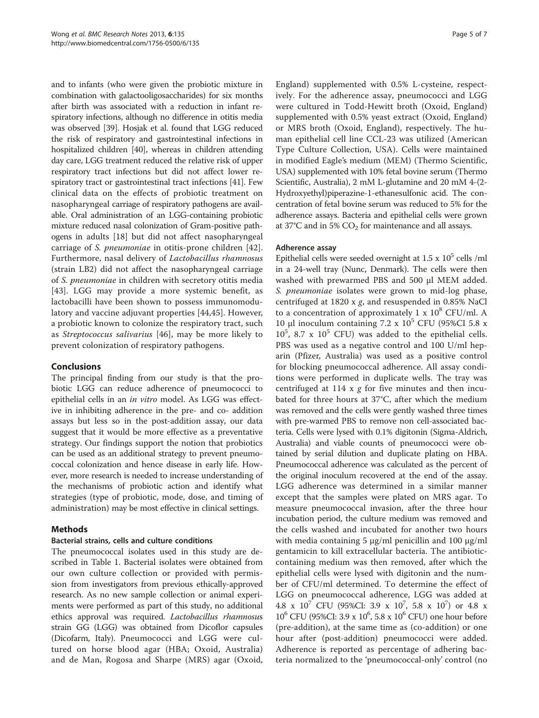and to infants (who were given the probiotic mixture in combination with galactooligosaccharides) for six months after birth was associated with a reduction in infant respiratory infections, although no difference in otitis media was observed [\[39\]](#page-6-0). Hosjak et al. found that LGG reduced the risk of respiratory and gastrointestinal infections in hospitalized children [\[40](#page-6-0)], whereas in children attending day care, LGG treatment reduced the relative risk of upper respiratory tract infections but did not affect lower respiratory tract or gastrointestinal tract infections [[41](#page-6-0)]. Few clinical data on the effects of probiotic treatment on nasopharyngeal carriage of respiratory pathogens are available. Oral administration of an LGG-containing probiotic mixture reduced nasal colonization of Gram-positive pathogens in adults [\[18](#page-6-0)] but did not affect nasopharyngeal carriage of S. pneumoniae in otitis-prone children [\[42](#page-6-0)]. Furthermore, nasal delivery of Lactobacillus rhamnosus (strain LB2) did not affect the nasopharyngeal carriage of S. pneumoniae in children with secretory otitis media [[43\]](#page-6-0). LGG may provide a more systemic benefit, as lactobacilli have been shown to possess immunomodulatory and vaccine adjuvant properties [\[44](#page-6-0),[45\]](#page-6-0). However, a probiotic known to colonize the respiratory tract, such as Streptococcus salivarius [[46\]](#page-6-0), may be more likely to prevent colonization of respiratory pathogens.

# Conclusions

The principal finding from our study is that the probiotic LGG can reduce adherence of pneumococci to epithelial cells in an in vitro model. As LGG was effective in inhibiting adherence in the pre- and co- addition assays but less so in the post-addition assay, our data suggest that it would be more effective as a preventative strategy. Our findings support the notion that probiotics can be used as an additional strategy to prevent pneumococcal colonization and hence disease in early life. However, more research is needed to increase understanding of the mechanisms of probiotic action and identify what strategies (type of probiotic, mode, dose, and timing of administration) may be most effective in clinical settings.

# Methods

# Bacterial strains, cells and culture conditions

The pneumococcal isolates used in this study are described in Table [1](#page-1-0). Bacterial isolates were obtained from our own culture collection or provided with permission from investigators from previous ethically-approved research. As no new sample collection or animal experiments were performed as part of this study, no additional ethics approval was required. Lactobacillus rhamnosus strain GG (LGG) was obtained from Dicoflor capsules (Dicofarm, Italy). Pneumococci and LGG were cultured on horse blood agar (HBA; Oxoid, Australia) and de Man, Rogosa and Sharpe (MRS) agar (Oxoid,

England) supplemented with 0.5% L-cysteine, respectively. For the adherence assay, pneumococci and LGG were cultured in Todd-Hewitt broth (Oxoid, England) supplemented with 0.5% yeast extract (Oxoid, England) or MRS broth (Oxoid, England), respectively. The human epithelial cell line CCL-23 was utilized (American Type Culture Collection, USA). Cells were maintained in modified Eagle's medium (MEM) (Thermo Scientific, USA) supplemented with 10% fetal bovine serum (Thermo Scientific, Australia), 2 mM L-glutamine and 20 mM 4-(2- Hydroxyethyl)piperazine-1-ethanesulfonic acid. The concentration of fetal bovine serum was reduced to 5% for the adherence assays. Bacteria and epithelial cells were grown at 37 $\degree$ C and in 5%  $CO_2$  for maintenance and all assays.

### Adherence assay

Epithelial cells were seeded overnight at  $1.5 \times 10^5$  cells /ml in a 24-well tray (Nunc, Denmark). The cells were then washed with prewarmed PBS and 500 μl MEM added. S. pneumoniae isolates were grown to mid-log phase, centrifuged at 1820 x g, and resuspended in 0.85% NaCl to a concentration of approximately 1 x  $10^8$  CFU/ml. A 10 μl inoculum containing 7.2 x  $10^5$  CFU (95%CI 5.8 x  $10^5$ , 8.7 x  $10^5$  CFU) was added to the epithelial cells. PBS was used as a negative control and 100 U/ml heparin (Pfizer, Australia) was used as a positive control for blocking pneumococcal adherence. All assay conditions were performed in duplicate wells. The tray was centrifuged at 114 x  $g$  for five minutes and then incubated for three hours at 37°C, after which the medium was removed and the cells were gently washed three times with pre-warmed PBS to remove non cell-associated bacteria. Cells were lysed with 0.1% digitonin (Sigma-Aldrich, Australia) and viable counts of pneumococci were obtained by serial dilution and duplicate plating on HBA. Pneumococcal adherence was calculated as the percent of the original inoculum recovered at the end of the assay. LGG adherence was determined in a similar manner except that the samples were plated on MRS agar. To measure pneumococcal invasion, after the three hour incubation period, the culture medium was removed and the cells washed and incubated for another two hours with media containing 5 μg/ml penicillin and 100 μg/ml gentamicin to kill extracellular bacteria. The antibioticcontaining medium was then removed, after which the epithelial cells were lysed with digitonin and the number of CFU/ml determined. To determine the effect of LGG on pneumococcal adherence, LGG was added at 4.8 x  $10^7$  CFU (95%CI: 3.9 x  $10^7$ , 5.8 x  $10^7$ ) or 4.8 x 10<sup>6</sup> CFU (95%CI: 3.9 x 10<sup>6</sup>, 5.8 x 10<sup>6</sup> CFU) one hour before (pre-addition), at the same time as (co-addition) or one hour after (post-addition) pneumococci were added. Adherence is reported as percentage of adhering bacteria normalized to the 'pneumococcal-only' control (no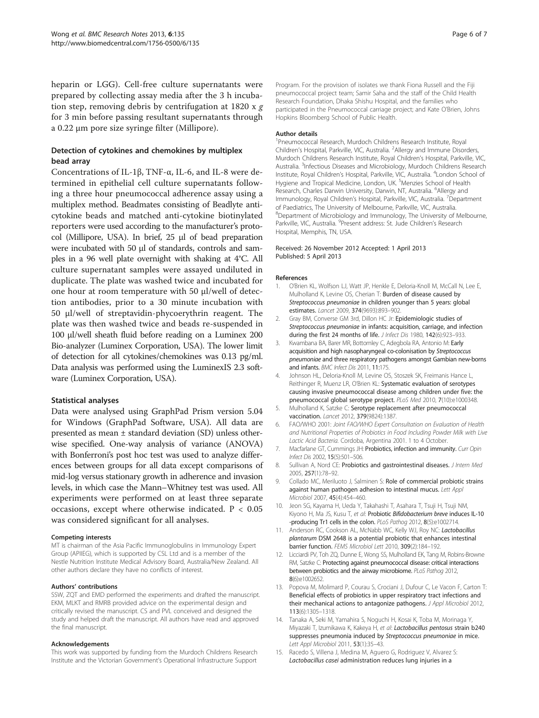<span id="page-5-0"></span>heparin or LGG). Cell-free culture supernatants were prepared by collecting assay media after the 3 h incubation step, removing debris by centrifugation at 1820 x  $g$ for 3 min before passing resultant supernatants through a 0.22 μm pore size syringe filter (Millipore).

# Detection of cytokines and chemokines by multiplex bead array

Concentrations of IL-1β, TNF-α, IL-6, and IL-8 were determined in epithelial cell culture supernatants following a three hour pneumococcal adherence assay using a multiplex method. Beadmates consisting of Beadlyte anticytokine beads and matched anti-cytokine biotinylated reporters were used according to the manufacturer's protocol (Millipore, USA). In brief, 25 μl of bead preparation were incubated with 50 μl of standards, controls and samples in a 96 well plate overnight with shaking at 4°C. All culture supernatant samples were assayed undiluted in duplicate. The plate was washed twice and incubated for one hour at room temperature with 50 μl/well of detection antibodies, prior to a 30 minute incubation with 50 μl/well of streptavidin-phycoerythrin reagent. The plate was then washed twice and beads re-suspended in 100 μl/well sheath fluid before reading on a Luminex 200 Bio-analyzer (Luminex Corporation, USA). The lower limit of detection for all cytokines/chemokines was 0.13 pg/ml. Data analysis was performed using the LuminexIS 2.3 software (Luminex Corporation, USA).

#### Statistical analyses

Data were analysed using GraphPad Prism version 5.04 for Windows (GraphPad Software, USA). All data are presented as mean ± standard deviation (SD) unless otherwise specified. One-way analysis of variance (ANOVA) with Bonferroni's post hoc test was used to analyze differences between groups for all data except comparisons of mid-log versus stationary growth in adherence and invasion levels, in which case the Mann–Whitney test was used. All experiments were performed on at least three separate occasions, except where otherwise indicated. P < 0.05 was considered significant for all analyses.

#### Competing interests

MT is chairman of the Asia Pacific Immunoglobulins in Immunology Expert Group (APIIEG), which is supported by CSL Ltd and is a member of the Nestle Nutrition Institute Medical Advisory Board, Australia/New Zealand. All other authors declare they have no conflicts of interest.

#### Authors' contributions

SSW, ZQT and EMD performed the experiments and drafted the manuscript. EKM, MLKT and RMRB provided advice on the experimental design and critically revised the manuscript. CS and PVL conceived and designed the study and helped draft the manuscript. All authors have read and approved the final manuscript.

#### Acknowledgements

This work was supported by funding from the Murdoch Childrens Research Institute and the Victorian Government's Operational Infrastructure Support

Program. For the provision of isolates we thank Fiona Russell and the Fiji pneumococcal project team; Samir Saha and the staff of the Child Health Research Foundation, Dhaka Shishu Hospital, and the families who participated in the Pneumococcal carriage project; and Kate O'Brien, Johns Hopkins Bloomberg School of Public Health.

#### Author details

1 Pneumococcal Research, Murdoch Childrens Research Institute, Royal Children's Hospital, Parkville, VIC, Australia. <sup>2</sup>Allergy and Immune Disorders, Murdoch Childrens Research Institute, Royal Children's Hospital, Parkville, VIC, Australia. <sup>3</sup>Infectious Diseases and Microbiology, Murdoch Childrens Research Institute, Royal Children's Hospital, Parkville, VIC, Australia. <sup>4</sup>London School of Hygiene and Tropical Medicine, London, UK. <sup>5</sup>Menzies School of Health Research, Charles Darwin University, Darwin, NT, Australia. <sup>6</sup>Allergy and Immunology, Royal Children's Hospital, Parkville, VIC, Australia. <sup>7</sup>Department of Paediatrics, The University of Melbourne, Parkville, VIC, Australia. 8 Department of Microbiology and Immunology, The University of Melbourne, Parkville, VIC, Australia. <sup>9</sup> Present address: St. Jude Children's Research Hospital, Memphis, TN, USA.

#### Received: 26 November 2012 Accepted: 1 April 2013 Published: 5 April 2013

#### References

- O'Brien KL, Wolfson LJ, Watt JP, Henkle E, Deloria-Knoll M, McCall N, Lee E, Mulholland K, Levine OS, Cherian T: Burden of disease caused by Streptococcus pneumoniae in children younger than 5 years: global estimates. Lancet 2009, 374(9693):893–902.
- 2. Gray BM, Converse GM 3rd, Dillon HC Jr: Epidemiologic studies of Streptococcus pneumoniae in infants: acquisition, carriage, and infection during the first 24 months of life. J Infect Dis 1980, 142(6):923-933.
- 3. Kwambana BA, Barer MR, Bottomley C, Adegbola RA, Antonio M: Early acquisition and high nasopharyngeal co-colonisation by Streptococcus pneumoniae and three respiratory pathogens amongst Gambian new-borns and infants. BMC Infect Dis 2011, 11:175.
- 4. Johnson HL, Deloria-Knoll M, Levine OS, Stoszek SK, Freimanis Hance L, Reithinger R, Muenz LR, O'Brien KL: Systematic evaluation of serotypes causing invasive pneumococcal disease among children under five: the pneumococcal global serotype project. PLoS Med 2010, 7(10):e1000348.
- 5. Mulholland K, Satzke C: Serotype replacement after pneumococcal vaccination. Lancet 2012, 379(9824):1387.
- 6. FAO/WHO 2001: Joint FAO/WHO Expert Consultation on Evaluation of Health and Nutritional Properties of Probiotics in Food Including Powder Milk with Live Lactic Acid Bacteria. Cordoba, Argentina 2001. 1 to 4 October.
- 7. Macfarlane GT, Cummings JH: Probiotics, infection and immunity. Curr Opin Infect Dis 2002, 15(5):501–506.
- 8. Sullivan A, Nord CE: Probiotics and gastrointestinal diseases. J Intern Med 2005, 257(1):78–92.
- 9. Collado MC, Meriluoto J, Salminen S: Role of commercial probiotic strains against human pathogen adhesion to intestinal mucus. Lett Appl Microbiol 2007, 45(4):454–460.
- 10. Jeon SG, Kayama H, Ueda Y, Takahashi T, Asahara T, Tsuji H, Tsuji NM, Kiyono H, Ma JS, Kusu T, et al: Probiotic Bifidobacterium breve induces IL-10 -producing Tr1 cells in the colon. PLoS Pathog 2012, 8(5):e1002714.
- 11. Anderson RC, Cookson AL, McNabb WC, Kelly WJ, Roy NC: Lactobacillus plantarum DSM 2648 is a potential probiotic that enhances intestinal barrier function. FEMS Microbiol Lett 2010, 309(2):184–192.
- 12. Licciardi PV, Toh ZQ, Dunne E, Wong SS, Mulholland EK, Tang M, Robins-Browne RM, Satzke C: Protecting against pneumococcal disease: critical interactions between probiotics and the airway microbiome. PLoS Pathog 2012, 8(6):e1002652.
- 13. Popova M, Molimard P, Courau S, Crociani J, Dufour C, Le Vacon F, Carton T: Beneficial effects of probiotics in upper respiratory tract infections and their mechanical actions to antagonize pathogens. J Appl Microbiol 2012, 113(6):1305–1318.
- 14. Tanaka A, Seki M, Yamahira S, Noguchi H, Kosai K, Toba M, Morinaga Y, Miyazaki T, Izumikawa K, Kakeya H, et al: Lactobacillus pentosus strain b240 suppresses pneumonia induced by Streptococcus pneumoniae in mice. Lett Appl Microbiol 2011, 53(1):35–43.
- 15. Racedo S, Villena J, Medina M, Aguero G, Rodriguez V, Alvarez S: Lactobacillus casei administration reduces lung injuries in a